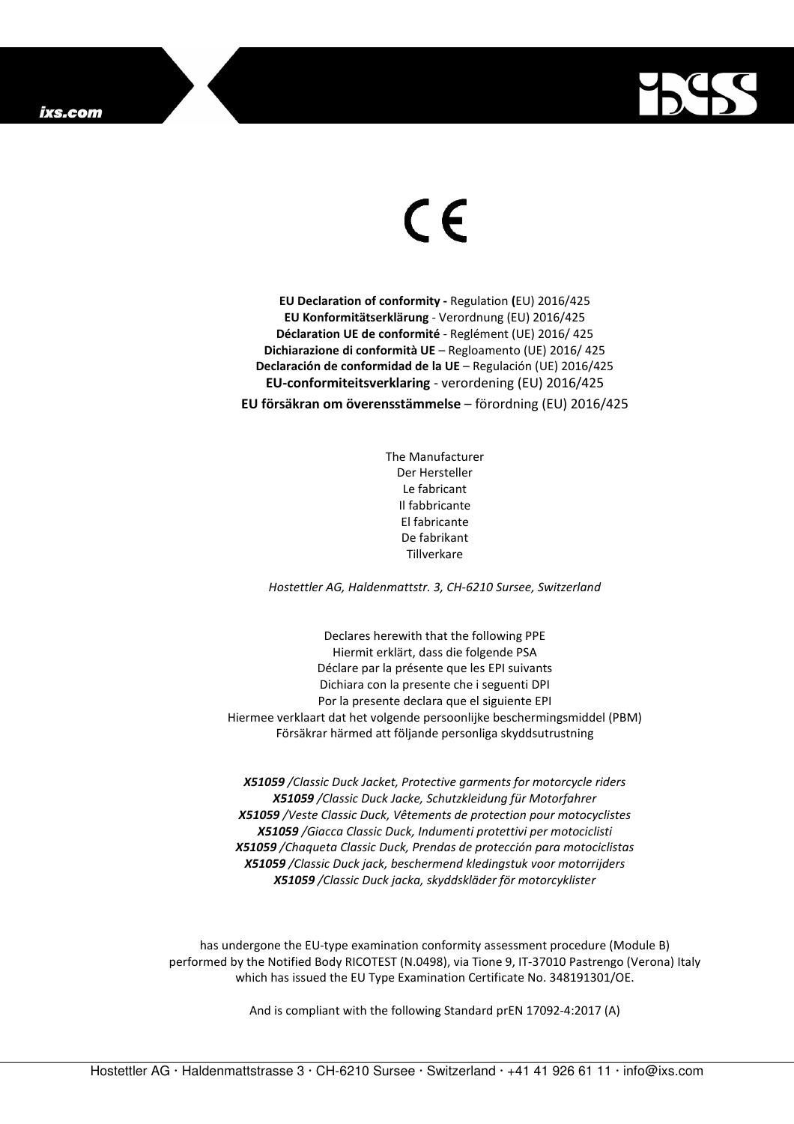

## $\in$

**EU Declaration of conformity -** Regulation **(**EU) 2016/425 **EU Konformitätserklärung** - Verordnung (EU) 2016/425 **Déclaration UE de conformité** - Reglément (UE) 2016/ 425 **Dichiarazione di conformità UE** – Regloamento (UE) 2016/ 425 **Declaración de conformidad de la UE** – Regulación (UE) 2016/425 **EU-conformiteitsverklaring** - verordening (EU) 2016/425 **EU försäkran om överensstämmelse** – förordning (EU) 2016/425

> The Manufacturer Der Hersteller Le fabricant Il fabbricante El fabricante De fabrikant **Tillverkare**

*Hostettler AG, Haldenmattstr. 3, CH-6210 Sursee, Switzerland* 

Declares herewith that the following PPE Hiermit erklärt, dass die folgende PSA Déclare par la présente que les EPI suivants Dichiara con la presente che i seguenti DPI Por la presente declara que el siguiente EPI Hiermee verklaart dat het volgende persoonlijke beschermingsmiddel (PBM) Försäkrar härmed att följande personliga skyddsutrustning

*X51059 /Classic Duck Jacket, Protective garments for motorcycle riders X51059 /Classic Duck Jacke, Schutzkleidung für Motorfahrer X51059 /Veste Classic Duck, Vêtements de protection pour motocyclistes X51059 /Giacca Classic Duck, Indumenti protettivi per motociclisti X51059 /Chaqueta Classic Duck, Prendas de protección para motociclistas X51059 /Classic Duck jack, beschermend kledingstuk voor motorrijders X51059 /Classic Duck jacka, skyddskläder för motorcyklister* 

has undergone the EU-type examination conformity assessment procedure (Module B) performed by the Notified Body RICOTEST (N.0498), via Tione 9, IT-37010 Pastrengo (Verona) Italy which has issued the EU Type Examination Certificate No. 348191301/OE.

And is compliant with the following Standard prEN 17092-4:2017 (A)